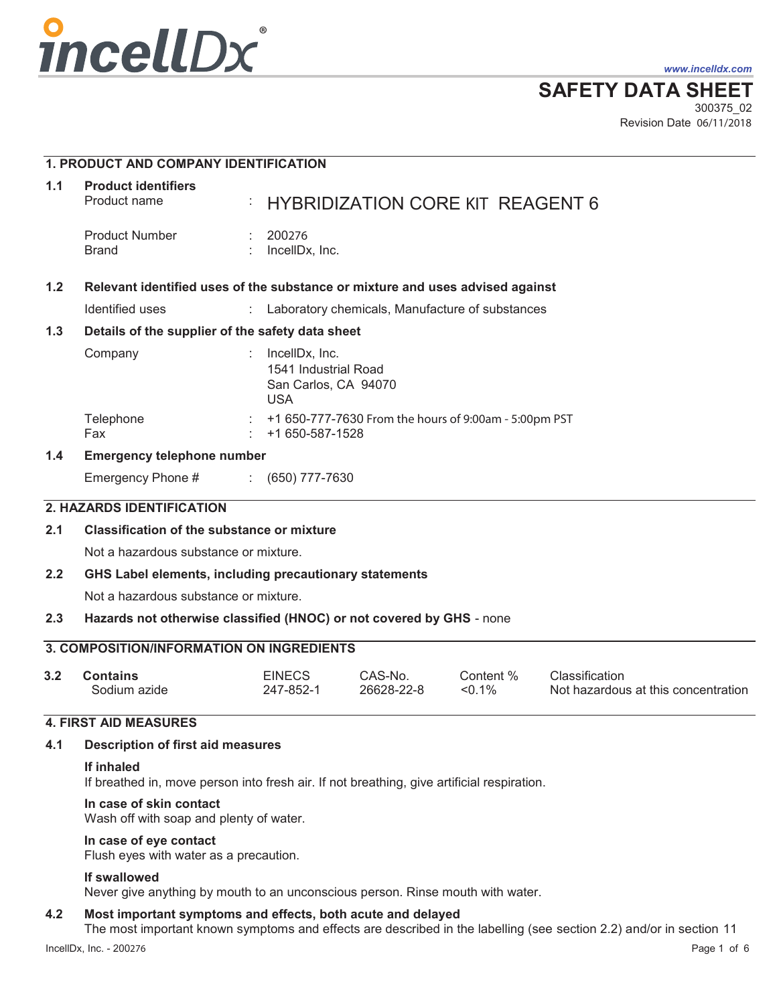

*www.incelldx.com*

**SAFETY DATA SHEET**

Revision Date 06/11/2018 300375\_02

|               | <b>1. PRODUCT AND COMPANY IDENTIFICATION</b>                                  |                                                                              |                                                         |                        |                                                       |
|---------------|-------------------------------------------------------------------------------|------------------------------------------------------------------------------|---------------------------------------------------------|------------------------|-------------------------------------------------------|
| 1.1           | <b>Product identifiers</b><br>Product name                                    |                                                                              | <b>HYBRIDIZATION CORE KIT REAGENT 6</b>                 |                        |                                                       |
|               | <b>Product Number</b><br><b>Brand</b>                                         | 200276<br>IncellDx, Inc.                                                     |                                                         |                        |                                                       |
| 1.2           | Relevant identified uses of the substance or mixture and uses advised against |                                                                              |                                                         |                        |                                                       |
|               | <b>Identified uses</b>                                                        | $\mathbb{C}^2$                                                               | Laboratory chemicals, Manufacture of substances         |                        |                                                       |
| 1.3           | Details of the supplier of the safety data sheet                              |                                                                              |                                                         |                        |                                                       |
|               | Company                                                                       | IncellDx, Inc.<br>1541 Industrial Road<br>San Carlos, CA 94070<br><b>USA</b> |                                                         |                        |                                                       |
|               | Telephone<br>Fax                                                              | +1 650-587-1528                                                              | : +1 650-777-7630 From the hours of 9:00am - 5:00pm PST |                        |                                                       |
| $1.4^{\circ}$ | <b>Emergency telephone number</b>                                             |                                                                              |                                                         |                        |                                                       |
|               | Emergency Phone #                                                             | $(650)$ 777-7630                                                             |                                                         |                        |                                                       |
|               | 2. HAZARDS IDENTIFICATION                                                     |                                                                              |                                                         |                        |                                                       |
| 2.1           | <b>Classification of the substance or mixture</b>                             |                                                                              |                                                         |                        |                                                       |
|               | Not a hazardous substance or mixture.                                         |                                                                              |                                                         |                        |                                                       |
| 2.2           | GHS Label elements, including precautionary statements                        |                                                                              |                                                         |                        |                                                       |
|               | Not a hazardous substance or mixture.                                         |                                                                              |                                                         |                        |                                                       |
| 2.3           | Hazards not otherwise classified (HNOC) or not covered by GHS - none          |                                                                              |                                                         |                        |                                                       |
|               | <b>3. COMPOSITION/INFORMATION ON INGREDIENTS</b>                              |                                                                              |                                                         |                        |                                                       |
| 3.2           | <b>Contains</b><br>Sodium azide                                               | <b>EINECS</b><br>247-852-1                                                   | CAS-No.<br>26628-22-8                                   | Content %<br>$< 0.1\%$ | Classification<br>Not hazardous at this concentration |

26628-22-8 247-852-1 <0.1%

## **4. FIRST AID MEASURES**

## **4.1 Description of first aid measures**

#### **If inhaled**

If breathed in, move person into fresh air. If not breathing, give artificial respiration.

#### **In case of skin contact**

Wash off with soap and plenty of water.

## **In case of eye contact**

Flush eyes with water as a precaution.

#### **If swallowed**

Never give anything by mouth to an unconscious person. Rinse mouth with water.

#### **4.2 Most important symptoms and effects, both acute and delayed**

The most important known symptoms and effects are described in the labelling (see section 2.2) and/or in section 11

Not hazardous at this concentration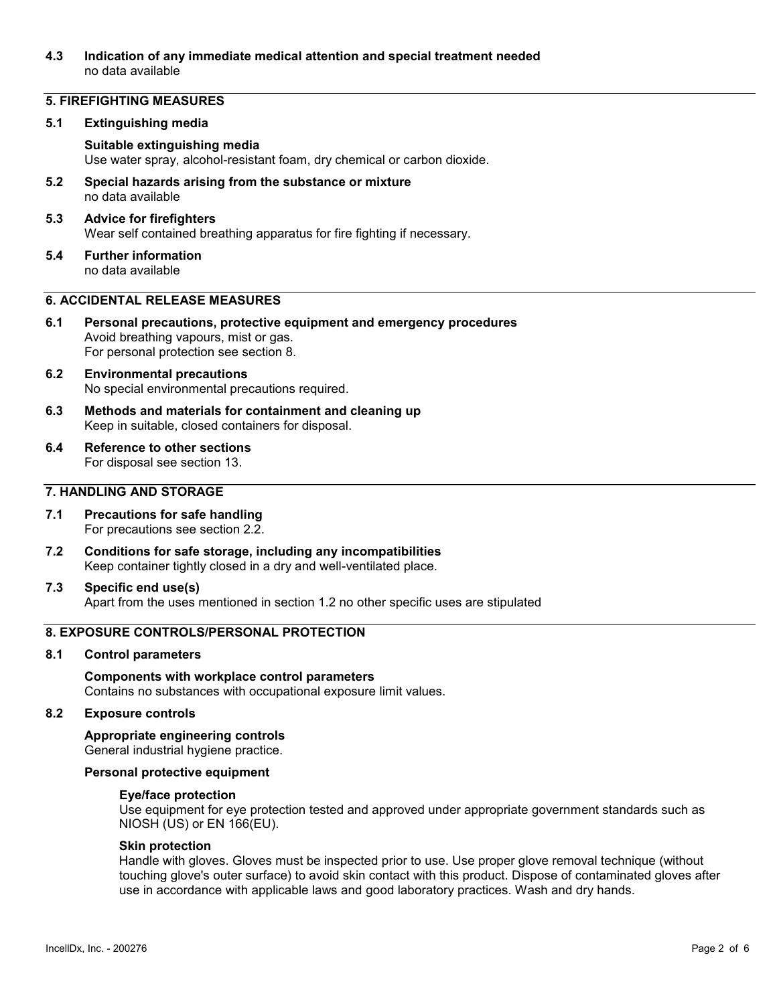## **4.3 Indication of any immediate medical attention and special treatment needed**  no data available

## **5. FIREFIGHTING MEASURES**

#### **5.1 Extinguishing media**

## **Suitable extinguishing media**

Use water spray, alcohol-resistant foam, dry chemical or carbon dioxide.

**5.2 Special hazards arising from the substance or mixture**  no data available

## **5.3 Advice for firefighters**  Wear self contained breathing apparatus for fire fighting if necessary.

**5.4 Further information**  no data available

## **6. ACCIDENTAL RELEASE MEASURES**

- **6.1 Personal precautions, protective equipment and emergency procedures**  Avoid breathing vapours, mist or gas. For personal protection see section 8.
- **6.2 Environmental precautions**  No special environmental precautions required.
- **6.3 Methods and materials for containment and cleaning up**  Keep in suitable, closed containers for disposal.
- **6.4 Reference to other sections**  For disposal see section 13.

## **7. HANDLING AND STORAGE**

- **7.1 Precautions for safe handling**  For precautions see section 2.2.
- **7.2 Conditions for safe storage, including any incompatibilities**  Keep container tightly closed in a dry and well-ventilated place.

#### **7.3 Specific end use(s)**  Apart from the uses mentioned in section 1.2 no other specific uses are stipulated

# **8. EXPOSURE CONTROLS/PERSONAL PROTECTION**

## **8.1 Control parameters**

## **Components with workplace control parameters**  Contains no substances with occupational exposure limit values.

## **8.2 Exposure controls**

## **Appropriate engineering controls**

General industrial hygiene practice.

## **Personal protective equipment**

#### **Eye/face protection**

Use equipment for eye protection tested and approved under appropriate government standards such as NIOSH (US) or EN 166(EU).

#### **Skin protection**

Handle with gloves. Gloves must be inspected prior to use. Use proper glove removal technique (without touching glove's outer surface) to avoid skin contact with this product. Dispose of contaminated gloves after use in accordance with applicable laws and good laboratory practices. Wash and dry hands.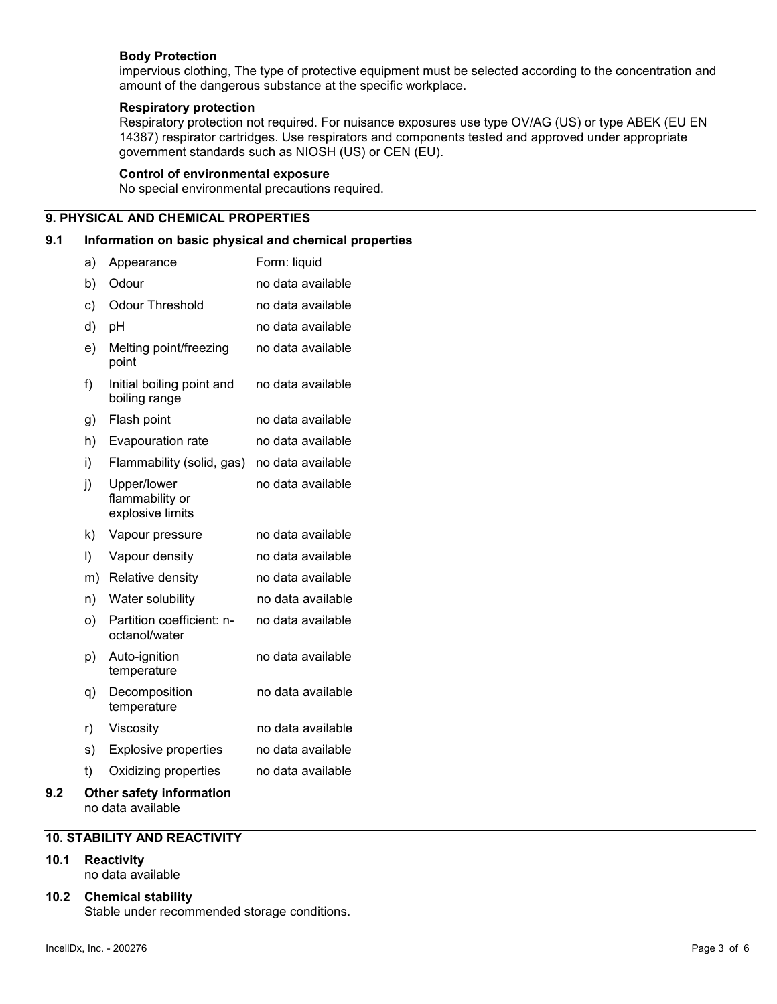## **Body Protection**

impervious clothing, The type of protective equipment must be selected according to the concentration and amount of the dangerous substance at the specific workplace.

## **Respiratory protection**

Respiratory protection not required. For nuisance exposures use type OV/AG (US) or type ABEK (EU EN 14387) respirator cartridges. Use respirators and components tested and approved under appropriate government standards such as NIOSH (US) or CEN (EU).

#### **Control of environmental exposure**

No special environmental precautions required.

## **9. PHYSICAL AND CHEMICAL PROPERTIES**

## **9.1 Information on basic physical and chemical properties**

|     | a)      | Appearance                                         | Form: liquid      |
|-----|---------|----------------------------------------------------|-------------------|
|     | b)      | Odour                                              | no data available |
|     | c)      | <b>Odour Threshold</b>                             | no data available |
|     | d)      | рH                                                 | no data available |
|     | e)      | Melting point/freezing<br>point                    | no data available |
|     | f)      | Initial boiling point and<br>boiling range         | no data available |
|     | g)      | Flash point                                        | no data available |
|     | h)      | Evapouration rate                                  | no data available |
|     | i)      | Flammability (solid, gas)                          | no data available |
|     | j)      | Upper/lower<br>flammability or<br>explosive limits | no data available |
|     | k)      | Vapour pressure                                    | no data available |
|     | $\vert$ | Vapour density                                     | no data available |
|     | m)      | Relative density                                   | no data available |
|     | n)      | Water solubility                                   | no data available |
|     | O)      | Partition coefficient: n-<br>octanol/water         | no data available |
|     | p)      | Auto-ignition<br>temperature                       | no data available |
|     | q)      | Decomposition<br>temperature                       | no data available |
|     | r)      | Viscosity                                          | no data available |
|     | s)      | <b>Explosive properties</b>                        | no data available |
|     | t)      | Oxidizing properties                               | no data available |
| 9.2 |         | <b>Other safety information</b>                    |                   |

# no data available

## **10. STABILITY AND REACTIVITY**

## **10.1 Reactivity**

no data available

## **10.2 Chemical stability**  Stable under recommended storage conditions.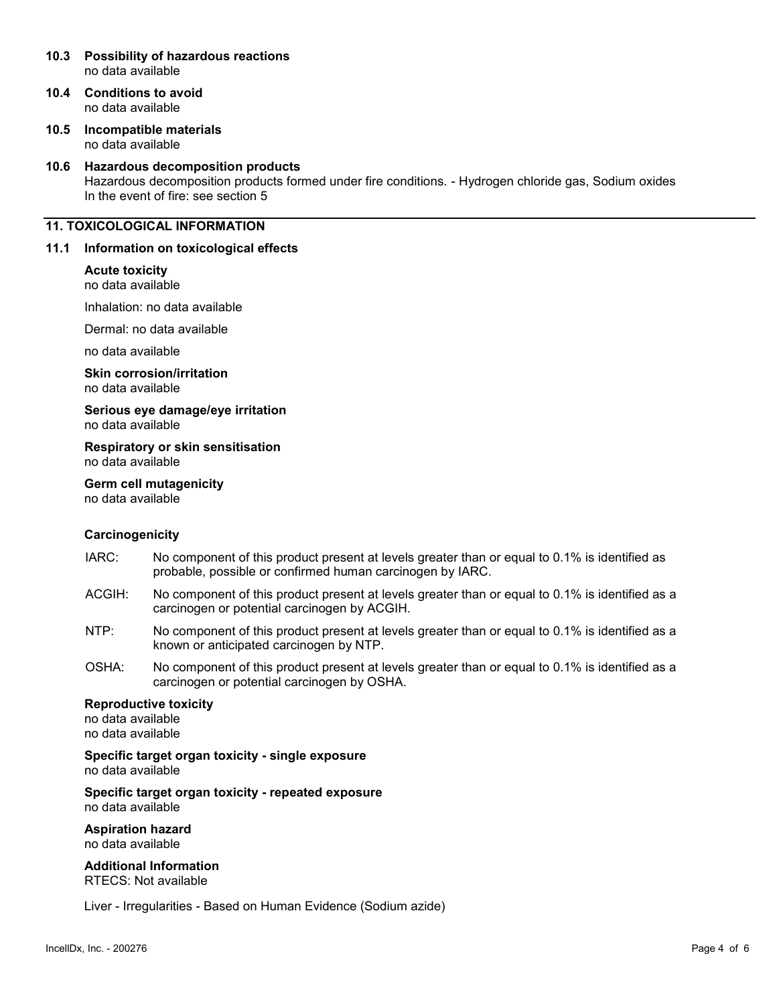#### **10.3 Possibility of hazardous reactions**  no data available

- **10.4 Conditions to avoid**  no data available
- **10.5 Incompatible materials**  no data available

#### **10.6 Hazardous decomposition products**

Hazardous decomposition products formed under fire conditions. - Hydrogen chloride gas, Sodium oxides In the event of fire: see section 5

## **11. TOXICOLOGICAL INFORMATION**

#### **11.1 Information on toxicological effects**

#### **Acute toxicity**

no data available

Inhalation: no data available

Dermal: no data available

no data available

**Skin corrosion/irritation**  no data available

**Serious eye damage/eye irritation**  no data available

**Respiratory or skin sensitisation**  no data available

## **Germ cell mutagenicity**

no data available

## **Carcinogenicity**

- IARC: No component of this product present at levels greater than or equal to 0.1% is identified as probable, possible or confirmed human carcinogen by IARC.
- ACGIH: No component of this product present at levels greater than or equal to 0.1% is identified as a carcinogen or potential carcinogen by ACGIH.
- NTP: No component of this product present at levels greater than or equal to 0.1% is identified as a known or anticipated carcinogen by NTP.
- OSHA: No component of this product present at levels greater than or equal to 0.1% is identified as a carcinogen or potential carcinogen by OSHA.

## **Reproductive toxicity**

no data available no data available

**Specific target organ toxicity - single exposure**  no data available

**Specific target organ toxicity - repeated exposure**  no data available

**Aspiration hazard**  no data available

**Additional Information**  RTECS: Not available

Liver - Irregularities - Based on Human Evidence (Sodium azide)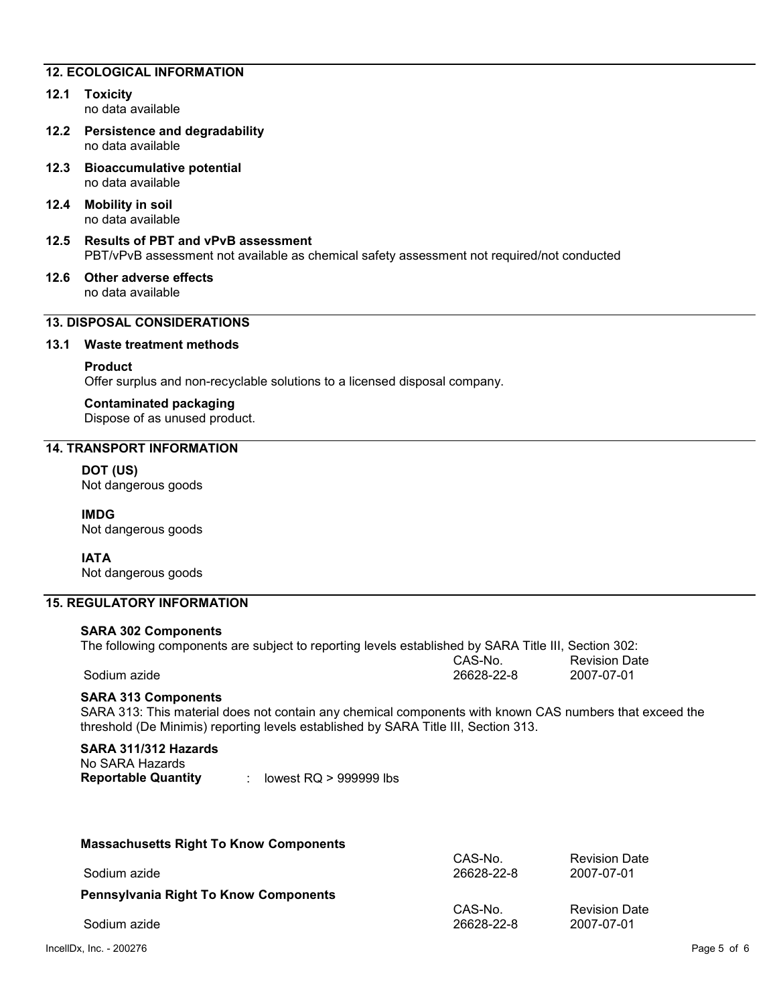## **12. ECOLOGICAL INFORMATION**

#### **12.1 Toxicity**  no data available

- **12.2 Persistence and degradability**  no data available
- **12.3 Bioaccumulative potential**  no data available
- **12.4 Mobility in soil**  no data available
- **12.5 Results of PBT and vPvB assessment**  PBT/vPvB assessment not available as chemical safety assessment not required/not conducted
- **12.6 Other adverse effects**  no data available

## **13. DISPOSAL CONSIDERATIONS**

#### **13.1 Waste treatment methods**

**Product**

Offer surplus and non-recyclable solutions to a licensed disposal company.

#### **Contaminated packaging**

Dispose of as unused product.

## **14. TRANSPORT INFORMATION**

## **DOT (US)**

Not dangerous goods

## **IMDG**

Not dangerous goods

## **IATA**

Not dangerous goods

## **15. REGULATORY INFORMATION**

#### **SARA 302 Components**

| The following components are subject to reporting levels established by SARA Title III, Section 302: |            |                      |
|------------------------------------------------------------------------------------------------------|------------|----------------------|
|                                                                                                      | CAS-No.    | <b>Revision Date</b> |
| Sodium azide                                                                                         | 26628-22-8 | 2007-07-01           |

## **SARA 313 Components**

SARA 313: This material does not contain any chemical components with known CAS numbers that exceed the threshold (De Minimis) reporting levels established by SARA Title III, Section 313.

# **SARA 311/312 Hazards**

| No SARA Hazards            |                          |
|----------------------------|--------------------------|
| <b>Reportable Quantity</b> | lowest $RQ > 999999$ lbs |

| <b>Massachusetts Right To Know Components</b> |            |                      |
|-----------------------------------------------|------------|----------------------|
|                                               | CAS-No.    | <b>Revision Date</b> |
| Sodium azide                                  | 26628-22-8 | 2007-07-01           |
| <b>Pennsylvania Right To Know Components</b>  |            |                      |
|                                               | CAS-No.    | <b>Revision Date</b> |
| Sodium azide                                  | 26628-22-8 | 2007-07-01           |